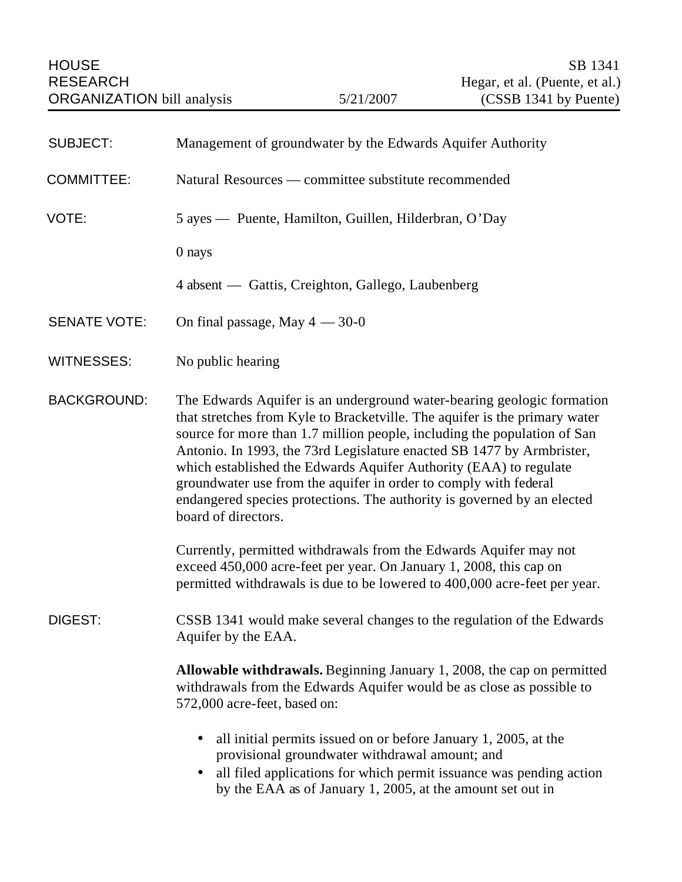| <b>SUBJECT:</b>     | Management of groundwater by the Edwards Aquifer Authority                                                                                                                                                                                                                                                                                                                                                                                                                                                                                           |
|---------------------|------------------------------------------------------------------------------------------------------------------------------------------------------------------------------------------------------------------------------------------------------------------------------------------------------------------------------------------------------------------------------------------------------------------------------------------------------------------------------------------------------------------------------------------------------|
| <b>COMMITTEE:</b>   | Natural Resources — committee substitute recommended                                                                                                                                                                                                                                                                                                                                                                                                                                                                                                 |
| VOTE:               | 5 ayes — Puente, Hamilton, Guillen, Hilderbran, O'Day                                                                                                                                                                                                                                                                                                                                                                                                                                                                                                |
|                     | 0 nays                                                                                                                                                                                                                                                                                                                                                                                                                                                                                                                                               |
|                     | 4 absent — Gattis, Creighton, Gallego, Laubenberg                                                                                                                                                                                                                                                                                                                                                                                                                                                                                                    |
| <b>SENATE VOTE:</b> | On final passage, May $4 - 30 - 0$                                                                                                                                                                                                                                                                                                                                                                                                                                                                                                                   |
| <b>WITNESSES:</b>   | No public hearing                                                                                                                                                                                                                                                                                                                                                                                                                                                                                                                                    |
| <b>BACKGROUND:</b>  | The Edwards Aquifer is an underground water-bearing geologic formation<br>that stretches from Kyle to Bracketville. The aquifer is the primary water<br>source for more than 1.7 million people, including the population of San<br>Antonio. In 1993, the 73rd Legislature enacted SB 1477 by Armbrister,<br>which established the Edwards Aquifer Authority (EAA) to regulate<br>groundwater use from the aquifer in order to comply with federal<br>endangered species protections. The authority is governed by an elected<br>board of directors. |
|                     | Currently, permitted withdrawals from the Edwards Aquifer may not<br>exceed 450,000 acre-feet per year. On January 1, 2008, this cap on<br>permitted withdrawals is due to be lowered to 400,000 acre-feet per year.                                                                                                                                                                                                                                                                                                                                 |
| DIGEST:             | CSSB 1341 would make several changes to the regulation of the Edwards<br>Aquifer by the EAA.                                                                                                                                                                                                                                                                                                                                                                                                                                                         |
|                     | Allowable withdrawals. Beginning January 1, 2008, the cap on permitted<br>withdrawals from the Edwards Aquifer would be as close as possible to<br>572,000 acre-feet, based on:                                                                                                                                                                                                                                                                                                                                                                      |
|                     | all initial permits issued on or before January 1, 2005, at the<br>provisional groundwater withdrawal amount; and<br>all filed applications for which permit issuance was pending action<br>$\bullet$<br>by the EAA as of January 1, 2005, at the amount set out in                                                                                                                                                                                                                                                                                  |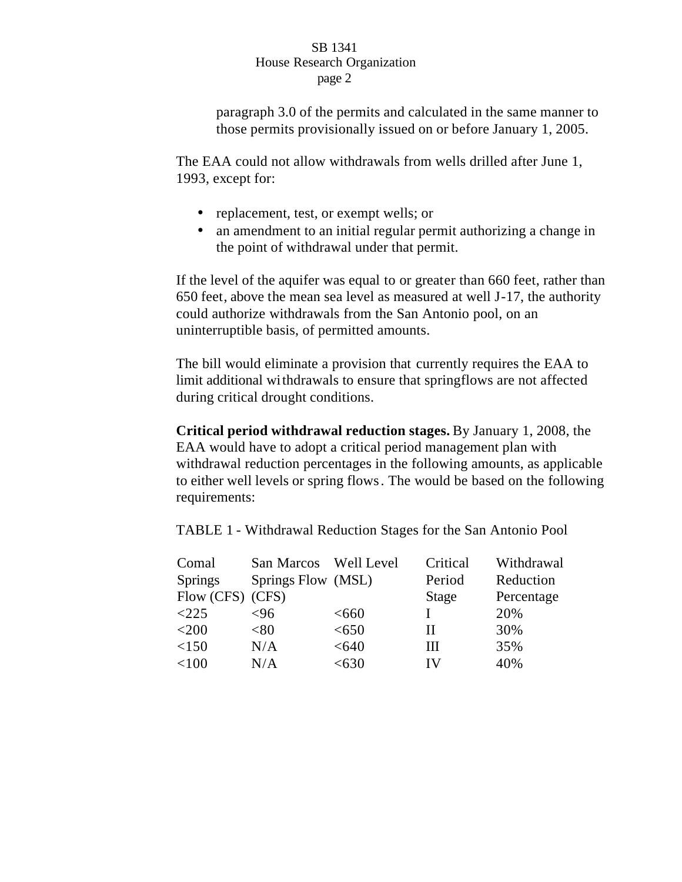paragraph 3.0 of the permits and calculated in the same manner to those permits provisionally issued on or before January 1, 2005.

The EAA could not allow withdrawals from wells drilled after June 1, 1993, except for:

- replacement, test, or exempt wells; or
- an amendment to an initial regular permit authorizing a change in the point of withdrawal under that permit.

If the level of the aquifer was equal to or greater than 660 feet, rather than 650 feet, above the mean sea level as measured at well J-17, the authority could authorize withdrawals from the San Antonio pool, on an uninterruptible basis, of permitted amounts.

The bill would eliminate a provision that currently requires the EAA to limit additional withdrawals to ensure that springflows are not affected during critical drought conditions.

**Critical period withdrawal reduction stages.** By January 1, 2008, the EAA would have to adopt a critical period management plan with withdrawal reduction percentages in the following amounts, as applicable to either well levels or spring flows. The would be based on the following requirements:

TABLE 1 - Withdrawal Reduction Stages for the San Antonio Pool

| Comal            | San Marcos         | Well Level | Critical | Withdrawal |
|------------------|--------------------|------------|----------|------------|
| <b>Springs</b>   | Springs Flow (MSL) |            | Period   | Reduction  |
| Flow (CFS) (CFS) |                    |            | Stage    | Percentage |
| $\langle 225$    | <96                | <660       |          | 20%        |
| $<$ 200          | $< \!\!80$         | < 650      | Н        | 30%        |
| < 150            | N/A                | < 640      | Ш        | 35%        |
| < 100            | N/A                | $<$ 630    | IV       | 40%        |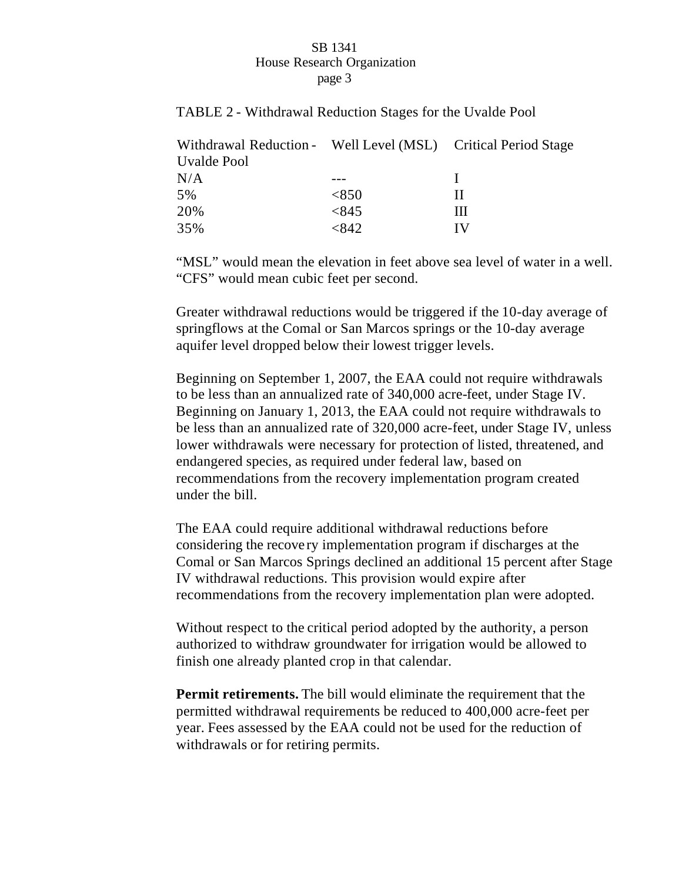TABLE 2 - Withdrawal Reduction Stages for the Uvalde Pool

| Withdrawal Reduction - Well Level (MSL) Critical Period Stage |       |     |
|---------------------------------------------------------------|-------|-----|
| Uvalde Pool                                                   |       |     |
| N/A                                                           |       |     |
| 5%                                                            | <850  | Ш   |
| 20%                                                           | < 845 | Ш   |
| 35%                                                           | <842  | I V |

"MSL" would mean the elevation in feet above sea level of water in a well. "CFS" would mean cubic feet per second.

Greater withdrawal reductions would be triggered if the 10-day average of springflows at the Comal or San Marcos springs or the 10-day average aquifer level dropped below their lowest trigger levels.

Beginning on September 1, 2007, the EAA could not require withdrawals to be less than an annualized rate of 340,000 acre-feet, under Stage IV. Beginning on January 1, 2013, the EAA could not require withdrawals to be less than an annualized rate of 320,000 acre-feet, under Stage IV, unless lower withdrawals were necessary for protection of listed, threatened, and endangered species, as required under federal law, based on recommendations from the recovery implementation program created under the bill.

The EAA could require additional withdrawal reductions before considering the recove ry implementation program if discharges at the Comal or San Marcos Springs declined an additional 15 percent after Stage IV withdrawal reductions. This provision would expire after recommendations from the recovery implementation plan were adopted.

Without respect to the critical period adopted by the authority, a person authorized to withdraw groundwater for irrigation would be allowed to finish one already planted crop in that calendar.

**Permit retirements.** The bill would eliminate the requirement that the permitted withdrawal requirements be reduced to 400,000 acre-feet per year. Fees assessed by the EAA could not be used for the reduction of withdrawals or for retiring permits.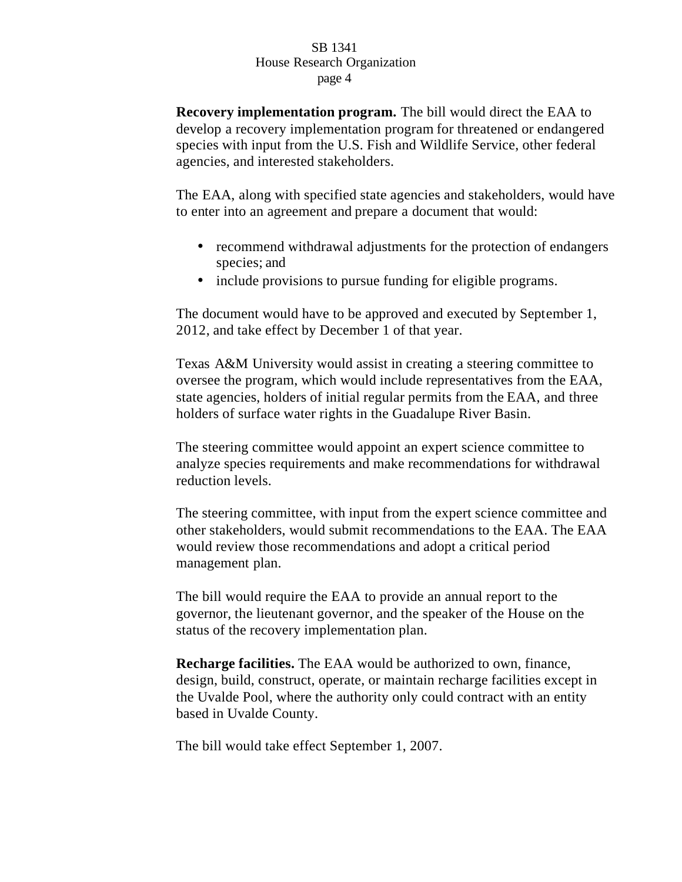**Recovery implementation program.** The bill would direct the EAA to develop a recovery implementation program for threatened or endangered species with input from the U.S. Fish and Wildlife Service, other federal agencies, and interested stakeholders.

The EAA, along with specified state agencies and stakeholders, would have to enter into an agreement and prepare a document that would:

- recommend withdrawal adjustments for the protection of endangers species; and
- include provisions to pursue funding for eligible programs.

The document would have to be approved and executed by September 1, 2012, and take effect by December 1 of that year.

Texas A&M University would assist in creating a steering committee to oversee the program, which would include representatives from the EAA, state agencies, holders of initial regular permits from the EAA, and three holders of surface water rights in the Guadalupe River Basin.

The steering committee would appoint an expert science committee to analyze species requirements and make recommendations for withdrawal reduction levels.

The steering committee, with input from the expert science committee and other stakeholders, would submit recommendations to the EAA. The EAA would review those recommendations and adopt a critical period management plan.

The bill would require the EAA to provide an annual report to the governor, the lieutenant governor, and the speaker of the House on the status of the recovery implementation plan.

**Recharge facilities.** The EAA would be authorized to own, finance, design, build, construct, operate, or maintain recharge facilities except in the Uvalde Pool, where the authority only could contract with an entity based in Uvalde County.

The bill would take effect September 1, 2007.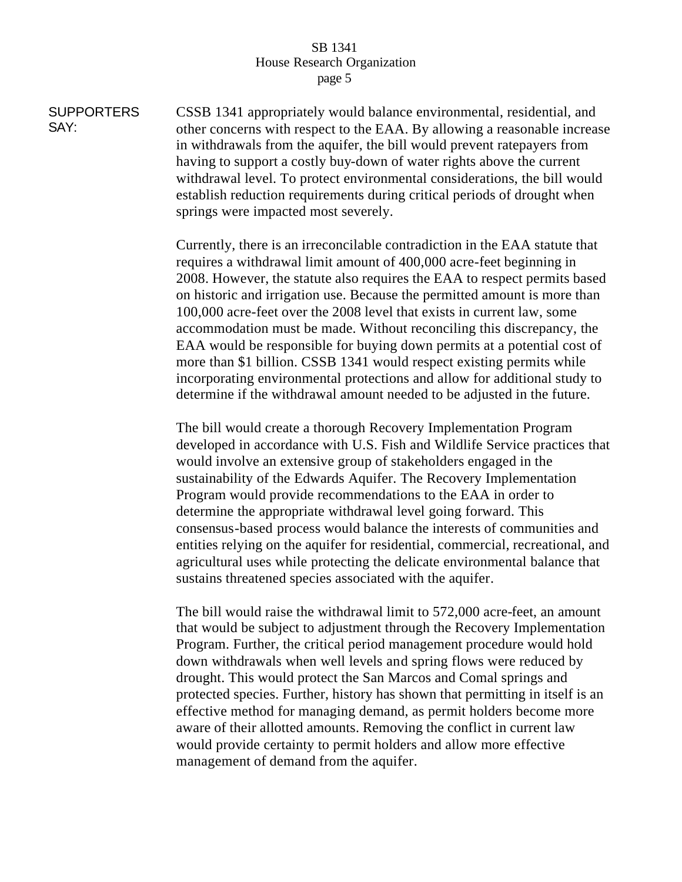**SUPPORTERS** SAY: CSSB 1341 appropriately would balance environmental, residential, and other concerns with respect to the EAA. By allowing a reasonable increase in withdrawals from the aquifer, the bill would prevent ratepayers from having to support a costly buy-down of water rights above the current withdrawal level. To protect environmental considerations, the bill would establish reduction requirements during critical periods of drought when springs were impacted most severely.

> Currently, there is an irreconcilable contradiction in the EAA statute that requires a withdrawal limit amount of 400,000 acre-feet beginning in 2008. However, the statute also requires the EAA to respect permits based on historic and irrigation use. Because the permitted amount is more than 100,000 acre-feet over the 2008 level that exists in current law, some accommodation must be made. Without reconciling this discrepancy, the EAA would be responsible for buying down permits at a potential cost of more than \$1 billion. CSSB 1341 would respect existing permits while incorporating environmental protections and allow for additional study to determine if the withdrawal amount needed to be adjusted in the future.

> The bill would create a thorough Recovery Implementation Program developed in accordance with U.S. Fish and Wildlife Service practices that would involve an extensive group of stakeholders engaged in the sustainability of the Edwards Aquifer. The Recovery Implementation Program would provide recommendations to the EAA in order to determine the appropriate withdrawal level going forward. This consensus-based process would balance the interests of communities and entities relying on the aquifer for residential, commercial, recreational, and agricultural uses while protecting the delicate environmental balance that sustains threatened species associated with the aquifer.

The bill would raise the withdrawal limit to 572,000 acre-feet, an amount that would be subject to adjustment through the Recovery Implementation Program. Further, the critical period management procedure would hold down withdrawals when well levels and spring flows were reduced by drought. This would protect the San Marcos and Comal springs and protected species. Further, history has shown that permitting in itself is an effective method for managing demand, as permit holders become more aware of their allotted amounts. Removing the conflict in current law would provide certainty to permit holders and allow more effective management of demand from the aquifer.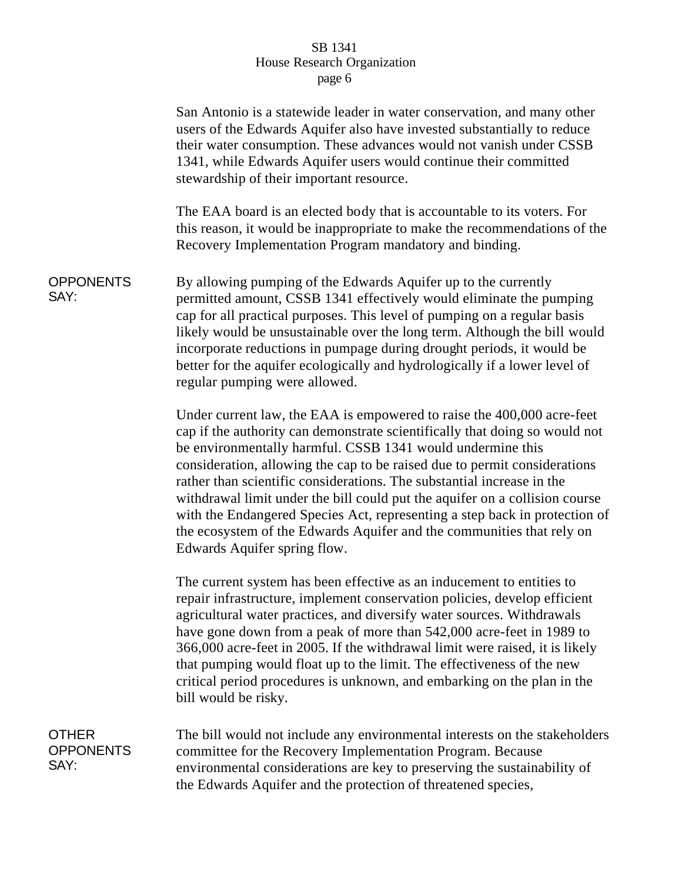|                                          | San Antonio is a statewide leader in water conservation, and many other<br>users of the Edwards Aquifer also have invested substantially to reduce<br>their water consumption. These advances would not vanish under CSSB<br>1341, while Edwards Aquifer users would continue their committed<br>stewardship of their important resource.                                                                                                                                                                                                                                                                                                        |
|------------------------------------------|--------------------------------------------------------------------------------------------------------------------------------------------------------------------------------------------------------------------------------------------------------------------------------------------------------------------------------------------------------------------------------------------------------------------------------------------------------------------------------------------------------------------------------------------------------------------------------------------------------------------------------------------------|
|                                          | The EAA board is an elected body that is accountable to its voters. For<br>this reason, it would be inappropriate to make the recommendations of the<br>Recovery Implementation Program mandatory and binding.                                                                                                                                                                                                                                                                                                                                                                                                                                   |
| <b>OPPONENTS</b><br>SAY:                 | By allowing pumping of the Edwards Aquifer up to the currently<br>permitted amount, CSSB 1341 effectively would eliminate the pumping<br>cap for all practical purposes. This level of pumping on a regular basis<br>likely would be unsustainable over the long term. Although the bill would<br>incorporate reductions in pumpage during drought periods, it would be<br>better for the aquifer ecologically and hydrologically if a lower level of<br>regular pumping were allowed.                                                                                                                                                           |
|                                          | Under current law, the EAA is empowered to raise the 400,000 acre-feet<br>cap if the authority can demonstrate scientifically that doing so would not<br>be environmentally harmful. CSSB 1341 would undermine this<br>consideration, allowing the cap to be raised due to permit considerations<br>rather than scientific considerations. The substantial increase in the<br>withdrawal limit under the bill could put the aquifer on a collision course<br>with the Endangered Species Act, representing a step back in protection of<br>the ecosystem of the Edwards Aquifer and the communities that rely on<br>Edwards Aquifer spring flow. |
|                                          | The current system has been effective as an inducement to entities to<br>repair infrastructure, implement conservation policies, develop efficient<br>agricultural water practices, and diversify water sources. Withdrawals<br>have gone down from a peak of more than 542,000 acre-feet in 1989 to<br>366,000 acre-feet in 2005. If the withdrawal limit were raised, it is likely<br>that pumping would float up to the limit. The effectiveness of the new<br>critical period procedures is unknown, and embarking on the plan in the<br>bill would be risky.                                                                                |
| <b>OTHER</b><br><b>OPPONENTS</b><br>SAY: | The bill would not include any environmental interests on the stakeholders<br>committee for the Recovery Implementation Program. Because<br>environmental considerations are key to preserving the sustainability of<br>the Edwards Aquifer and the protection of threatened species,                                                                                                                                                                                                                                                                                                                                                            |